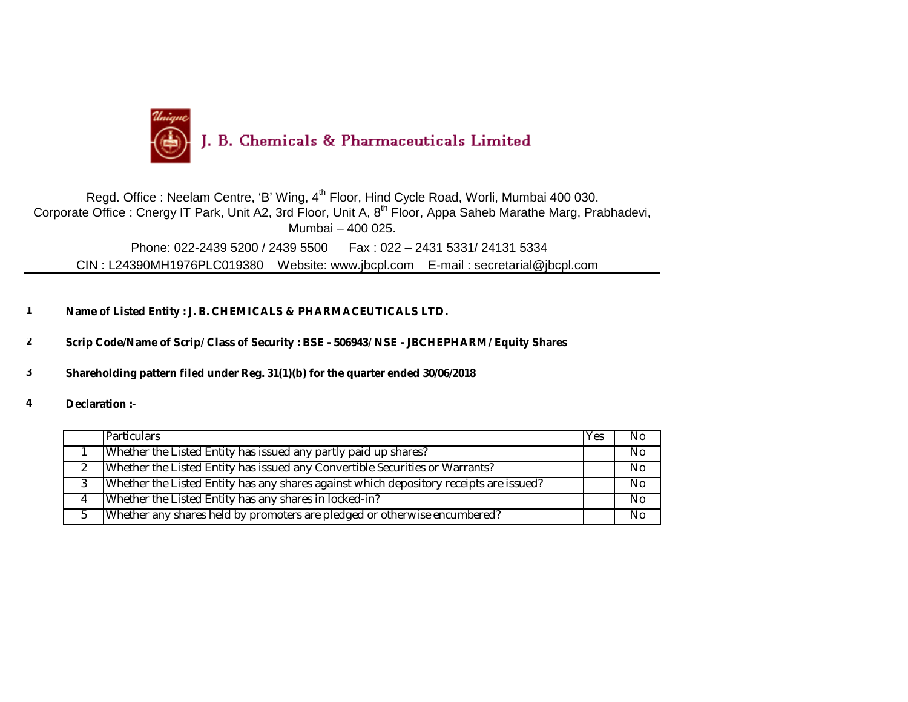

Corporate Office : Cnergy IT Park, Unit A2, 3rd Floor, Unit A, 8<sup>th</sup> Floor, Appa Saheb Marathe Marg, Prabhadevi, Mumbai – 400 025. Regd. Office : Neelam Centre, 'B' Wing, 4<sup>th</sup> Floor, Hind Cycle Road, Worli, Mumbai 400 030. Phone: 022-2439 5200 / 2439 5500 Fax : 022 – 2431 5331/ 24131 5334 CIN : L24390MH1976PLC019380 Website: www.jbcpl.com E-mail : [secretarial@jbcpl.com](mailto:secretarial@jbcpl.com) 

**1 Name of Listed Entity : J. B. CHEMICALS & PHARMACEUTICALS LTD.**

**2 Scrip Code/Name of Scrip/ Class of Security : BSE - 506943/ NSE - JBCHEPHARM/ Equity Shares**

**3 Shareholding pattern filed under Reg. 31(1)(b) for the quarter ended 30/06/2018**

**4 Declaration :-**

| <b>Particulars</b>                                                                     | Yes | No.            |
|----------------------------------------------------------------------------------------|-----|----------------|
| Whether the Listed Entity has issued any partly paid up shares?                        |     | N <sub>0</sub> |
| Whether the Listed Entity has issued any Convertible Securities or Warrants?           |     | N <sub>0</sub> |
| Whether the Listed Entity has any shares against which depository receipts are issued? |     | No.            |
| Whether the Listed Entity has any shares in locked-in?                                 |     | N <sub>0</sub> |
| Whether any shares held by promoters are pledged or otherwise encumbered?              |     | N <sub>0</sub> |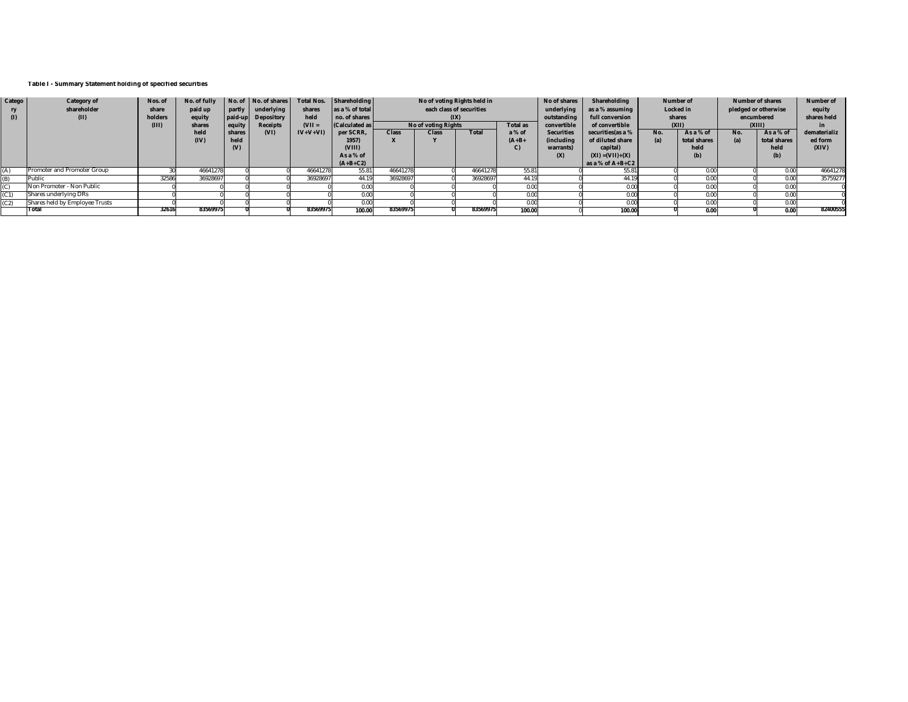## **Table I - Summary Statement holding of specified securities**

| Catego | Category of                    | Nos. of | No. of fully |              | No. of No. of shares | <b>Total Nos.</b> | Shareholding         |              | No of voting Rights held in |          |                 | No of shares      | Shareholding         | Number of |              | Number of shares     |              | <b>Number of</b> |
|--------|--------------------------------|---------|--------------|--------------|----------------------|-------------------|----------------------|--------------|-----------------------------|----------|-----------------|-------------------|----------------------|-----------|--------------|----------------------|--------------|------------------|
|        | shareholder                    | share   | paid up      |              | partly underlying    | shares            | as a % of total      |              | each class of securities    |          |                 | underlying        | as a % assuming      |           | Locked in    | pledged or otherwise |              | equity           |
| (1)    | (II)                           | holders | equity       |              | paid-up Depository   | held              | no. of shares        |              |                             | (XI)     |                 | outstanding       | full conversion      | shares    |              | encumbered           |              | shares held      |
|        |                                | (III)   | shares       | equity       | Receipts             | $(VII =$          | <b>Calculated as</b> |              | No of voting Rights         |          | <b>Total as</b> | convertible       | of convertible       |           | (XII)        | (XIII)               |              | in               |
|        |                                |         | held         | shares       | (VI)                 | $IV+V+VI$         | per SCRR,            | <b>Class</b> | Class<br><b>Total</b>       |          | a % of          | <b>Securities</b> | securities (as a %   | No.       | As a % of    | No.                  | As a % of    | dematerializ     |
|        |                                |         | (IV)         | held         |                      |                   | 1957)                |              |                             |          | $(A+B+$         | (including        | of diluted share     | (a)       | total shares | (a)                  | total shares | ed form          |
|        |                                |         |              | $\mathbf{w}$ |                      |                   | (VIII)               |              |                             |          |                 | warrants)         | capital)             |           | held         |                      | held         | (XIV)            |
|        |                                |         |              |              |                      |                   | As a % of            |              |                             |          |                 | (X)               | $(XI) = (VII) + (X)$ |           | (b)          |                      | (b)          |                  |
|        |                                |         |              |              |                      |                   | $(A+B+C2)$           |              |                             |          |                 |                   | as a % of $A+B+C2$   |           |              |                      |              |                  |
|        | Promoter and Promoter Group    |         | 46641278     |              |                      | 46641278          | 55.81                | 46641278     |                             | 46641278 | 55.81           |                   | 55.81                |           | 0.00         |                      | 0.00         | 46641278         |
|        | Public                         | 32586   | 36928697     |              |                      | 36928697          | 44.19                | 36928697     |                             | 36928697 | 44.19           |                   | 44.19                |           | 0.00         |                      | 0.00         | 35759277         |
|        | Non Promoter - Non Public      |         |              |              |                      |                   | 0.00                 |              |                             |          | 0.00            |                   | 0.00                 |           | 0.00         |                      | 0.00         |                  |
|        | Shares underlying DRs          |         |              |              |                      |                   | 0.00                 |              |                             |          | 0.00            |                   | 0.00                 |           | 0.00         |                      | 0.00         |                  |
|        | Shares held by Employee Trusts |         |              |              |                      |                   | 0.00                 |              |                             |          | 0.00            |                   | 0.00                 |           | 0.00         |                      | 0.001        |                  |
|        | TTotal                         | 32616   | 83569975     |              |                      | 8356997           | 100.00               | 83569975     |                             | 83569975 | 100.00          |                   | 100.00               |           | 0.00         |                      | 0.00         | 82400555         |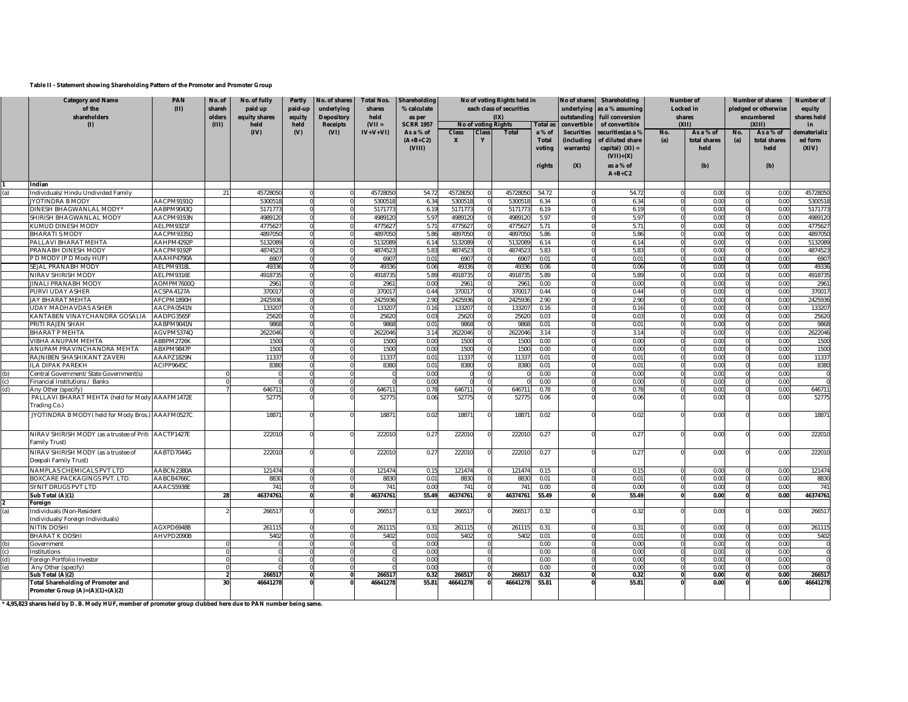## **Table II - Statement showing Shareholding Pattern of the Promoter and Promoter Group**

|     | <b>Category and Name</b><br>of the<br>shareholders                    | <b>PAN</b><br>(II)       | No. of<br>shareh<br>olders     | No. of fully<br>paid up<br>equity shares | Partly<br>paid-up<br>equity | No. of shares<br>underlying<br><b>Depository</b> | <b>Total Nos.</b><br>shares<br>held | Shareholding<br>% calculate<br>as per |                              |              | No of voting Rights held in<br>each class of securities<br>(IX) |                                            | No of shares<br>underlying<br>outstanding           | Shareholding<br>as a % assuming<br>full conversion                                                  | Locked in                                                            | <b>Number of</b><br>shares               |                                  | <b>Number of shares</b><br>pledged or otherwise<br>encumbered | <b>Number of</b><br>equity<br>shares held |  |
|-----|-----------------------------------------------------------------------|--------------------------|--------------------------------|------------------------------------------|-----------------------------|--------------------------------------------------|-------------------------------------|---------------------------------------|------------------------------|--------------|-----------------------------------------------------------------|--------------------------------------------|-----------------------------------------------------|-----------------------------------------------------------------------------------------------------|----------------------------------------------------------------------|------------------------------------------|----------------------------------|---------------------------------------------------------------|-------------------------------------------|--|
|     | (1)                                                                   |                          | (III)                          | held<br>(IV)                             | held<br>(V)                 | <b>Receipts</b>                                  | $(VII =$                            | <b>SCRR 1957</b>                      |                              |              | No of voting Rights                                             | <b>Total as</b>                            | convertible                                         | of convertible                                                                                      |                                                                      | (X I)                                    | (XIII)                           |                                                               | in                                        |  |
|     |                                                                       |                          |                                |                                          |                             | (VI)                                             | $IV+V+VI)$                          | As a % of<br>$(A+B+C2)$<br>(VIII)     | <b>Class</b><br>$\mathbf{x}$ | <b>Class</b> | <b>Total</b>                                                    | a % of<br><b>Total</b><br>voting<br>rights | <b>Securities</b><br>(including<br>warrants)<br>(X) | securities (as a %<br>of diluted share<br>capital) $(XI) =$<br>$(VII)+(X)$<br>as a % of<br>$A+B+C2$ | No.<br>As a % of<br>No.<br>(a)<br>total shares<br>(a)<br>held<br>(b) | As a % of<br>total shares<br>held<br>(b) | dematerializ<br>ed form<br>(XIV) |                                                               |                                           |  |
|     |                                                                       |                          |                                |                                          |                             |                                                  |                                     |                                       |                              |              |                                                                 |                                            |                                                     |                                                                                                     |                                                                      |                                          |                                  |                                                               |                                           |  |
|     | Indian                                                                |                          |                                |                                          |                             |                                                  |                                     |                                       |                              |              |                                                                 |                                            |                                                     |                                                                                                     |                                                                      |                                          |                                  |                                                               |                                           |  |
|     | ndividuals/Hindu Undivided Family<br>YOTINDRA B MODY                  | AACPM9191Q               | 2 <sup>1</sup>                 | 4572805<br>530051                        |                             |                                                  | 4572805                             | 54.7                                  | 4572805                      |              | 4572805<br>530051                                               | 54.72                                      |                                                     | 54.72                                                                                               |                                                                      | 0.00<br>0.00                             |                                  | 0.00<br>0.00                                                  | 45728050                                  |  |
|     |                                                                       | AABPM9043Q               |                                | 517177                                   |                             |                                                  | 530051                              | 6.3                                   | 530051                       |              |                                                                 | 6.34<br>6.19                               |                                                     | 6.34                                                                                                |                                                                      |                                          |                                  |                                                               | 5300518                                   |  |
|     | <b>DINESH BHAGWANLAL MODY</b>                                         |                          |                                |                                          |                             |                                                  | 517177                              | 6.19                                  | 517177                       |              | 517177                                                          |                                            |                                                     | 6.19                                                                                                |                                                                      | 0.00                                     |                                  | 0.00                                                          | 5171773                                   |  |
|     | SHIRISH BHAGWANLAL MODY<br>KUMUD DINESH MODY                          | AACPM9193N<br>AELPM9321F |                                | 4989120<br>4775627                       |                             |                                                  | 498912<br>477562                    | 5.9<br>5.71                           | 498912<br>477562             |              | 498912<br>477562                                                | 5.97<br>5.71                               |                                                     | 5.97<br>5.71                                                                                        |                                                                      | 0.00<br>0.00                             |                                  | 0.00<br>0.00                                                  | 4989120<br>4775627                        |  |
|     | <b>BHARATIS MODY</b>                                                  | AACPM9335Q               |                                | 4897050                                  |                             | $\Omega$                                         | 489705                              | 5.86                                  | 489705                       |              | 4897050                                                         | 5.86                                       |                                                     | 5.86                                                                                                |                                                                      | 0.00                                     |                                  | 0.00                                                          | 4897050                                   |  |
|     | PALLAVI BHARAT MEHTA                                                  | AAHPM4292P               |                                | 5132089                                  |                             |                                                  | 513208                              | 6.14                                  | 513208                       |              | 513208                                                          | 6.14                                       |                                                     | 6.14                                                                                                |                                                                      | 0.00                                     |                                  | 0.00                                                          | 5132089                                   |  |
|     | PRANABH DINESH MODY                                                   | AACPM9192P               |                                | 487452                                   |                             |                                                  | 487452                              | 5.83                                  | 487452                       |              | 487452                                                          | 5.83                                       |                                                     | 5.83                                                                                                |                                                                      | 0.00                                     |                                  | 0.00                                                          | 4874523                                   |  |
|     | P D MODY (P D Mody HUF)                                               | AAAHP4790A               |                                | 6907                                     |                             |                                                  | 6907                                | $0.0^{\circ}$                         | 6907                         |              | 690                                                             | 0.01                                       |                                                     | 0.01                                                                                                |                                                                      | 0.00                                     |                                  | 0.00                                                          | 6907                                      |  |
|     | <b>SEJAL PRANABH MODY</b>                                             | AELPM9318L               |                                | 49336                                    |                             |                                                  | 49336                               | 0.06                                  | 49336                        |              | 49336                                                           | 0.06                                       |                                                     | 0.06                                                                                                |                                                                      | 0.00                                     |                                  | 0.00                                                          | 49336                                     |  |
|     | <b>VIRAV SHIRISH MODY</b>                                             | AELPM9316E               |                                | 491873                                   |                             |                                                  | 491873                              | 5.89                                  | 491873                       |              | 491873                                                          | 5.89                                       |                                                     | 5.89                                                                                                |                                                                      | 0.00                                     |                                  | 0.00                                                          | 4918735                                   |  |
|     | <b>IINALI PRANABH MODY</b>                                            | AOMPM7600Q               |                                | 2961                                     |                             |                                                  | 2961                                | 0.00                                  | 2961                         |              | 296                                                             | $0.00 -$                                   |                                                     | 0.00                                                                                                |                                                                      | 0.00                                     |                                  | 0.00                                                          | 2961                                      |  |
|     | PURVI UDAY ASHER                                                      | ACSPA4127A               |                                | 370017                                   |                             | $\Omega$                                         | 37001                               | 0.44                                  | 37001                        |              | 37001                                                           | 0.44                                       |                                                     | 0.44                                                                                                |                                                                      | 0.00                                     | $\Omega$                         | 0.00                                                          | 370017                                    |  |
|     | JAY BHARAT MEHTA                                                      | AFCPM1890H               |                                | 2425936                                  |                             |                                                  | 2425936                             | 2.90                                  | 2425936                      |              | 2425936                                                         | 2.90                                       |                                                     | 2.90                                                                                                |                                                                      | 0.00                                     |                                  | 0.00                                                          | 2425936                                   |  |
|     | JDAY MADHAVDAS ASHER                                                  | AACPA0541N               |                                | 133207                                   |                             |                                                  | 133207                              | 0.16                                  | 13320                        |              | 13320                                                           | 0.16                                       |                                                     | 0.16                                                                                                |                                                                      | 0.00                                     |                                  | 0.00                                                          | 133207                                    |  |
|     | <b>CANTABEN VINAYCHANDRA GOSALIA</b>                                  | AADPG3565F               |                                | 25620                                    |                             |                                                  | 2562                                | 0.03                                  | 25620                        |              | 2562                                                            | 0.03                                       |                                                     | 0.03                                                                                                |                                                                      | 0.00                                     |                                  | 0.00                                                          | 25620                                     |  |
|     | PRITI RAJEN SHAH                                                      | AABPM9041N               |                                | 9868                                     |                             |                                                  | 9868                                | 0.01                                  | 9868                         |              | 9868                                                            | 0.01                                       |                                                     | 0.01                                                                                                |                                                                      | 0.00                                     |                                  | 0.00                                                          | 9868                                      |  |
|     | <b>BHARAT P MEHTA</b>                                                 | AGVPM5374Q               |                                | 2622046                                  |                             |                                                  | 2622046                             | 3.14                                  | 2622046                      |              | 2622046                                                         | 3.14                                       |                                                     | 3.14                                                                                                |                                                                      | 0.00                                     |                                  | 0.00                                                          | 2622046                                   |  |
|     | VIBHA ANUPAM MEHTA                                                    | ABBPM2726K               |                                | 1500                                     |                             |                                                  | 1500                                | 0.00                                  | 1500                         |              | 1500                                                            | 0.00                                       |                                                     | 0.00                                                                                                |                                                                      | 0.00                                     |                                  | 0.00                                                          | 1500                                      |  |
|     | ANUPAM PRAVINCHANDRA MEHTA                                            | ABXPM9847P               |                                | 1500                                     |                             |                                                  | 1500                                | 0.00                                  | 1500                         |              | 1500                                                            | 0.00                                       |                                                     | 0.00                                                                                                |                                                                      | 0.00                                     |                                  | 0.00                                                          | 1500                                      |  |
|     | RAJNIBEN SHASHIKANT ZAVERI                                            | AAAPZ1829N               |                                | 11337                                    |                             |                                                  | 11337                               | 0.01                                  | 11337                        |              | 11337                                                           | 0.01                                       |                                                     | 0.01                                                                                                |                                                                      | 0.00                                     |                                  | 0.00                                                          | 11337                                     |  |
|     | LA DIPAK PAREKH                                                       | ACIPP9645C               |                                | 8380                                     |                             | $\Omega$                                         | 8380                                | 0.01                                  | 8380                         |              | 8380                                                            | 0.01                                       |                                                     | 0.01                                                                                                |                                                                      | 0.00                                     | $\Omega$                         | 0.00                                                          | 8380                                      |  |
| (b) | Central Government/State Government(s)                                |                          |                                |                                          |                             |                                                  |                                     | 0.00                                  |                              |              |                                                                 | 0.00                                       |                                                     | 0.00                                                                                                |                                                                      | 0.00                                     |                                  | 0.00                                                          | $\mathbf 0$                               |  |
| (c) | inancial Institutions / Banks                                         |                          |                                |                                          |                             |                                                  |                                     | 0.00                                  |                              |              |                                                                 | 0.00                                       |                                                     | 0.00                                                                                                |                                                                      | 0.00                                     |                                  | 0.00                                                          | $\overline{0}$                            |  |
| (d) | Any Other (specify)                                                   |                          |                                | 646711                                   |                             |                                                  | 646711                              | 0.78                                  | 646711                       |              | 646711                                                          | 0.78                                       |                                                     | 0.78                                                                                                |                                                                      | 0.00                                     |                                  | 0.00                                                          | 646711                                    |  |
|     | PALLAVI BHARAT MEHTA (held for Mody AAAFM1472E<br>Trading Co.)        |                          |                                | 52775                                    |                             |                                                  | 52775                               | 0.06                                  | 52775                        |              | 52775                                                           | 0.06                                       |                                                     | 0.06                                                                                                |                                                                      | 0.00                                     |                                  | 0.00                                                          | 52775                                     |  |
|     | JYOTINDRA B MODY(held for Mody Bros.) AAAFM0527C                      |                          |                                | 1887                                     |                             |                                                  | 18871                               | 0.02                                  | 18871                        |              | 1887                                                            | 0.02                                       |                                                     | 0.02                                                                                                |                                                                      | 0.00                                     |                                  | 0.00                                                          | 18871                                     |  |
|     | NIRAV SHIRISH MODY (as a trustee of Priti AACTP1427E<br>Family Trust) |                          |                                | 222010                                   |                             |                                                  | 22201                               | 0.27                                  | 22201                        |              | 222010                                                          | 0.27                                       |                                                     | 0.27                                                                                                |                                                                      | 0.00                                     |                                  | 0.00                                                          | 222010                                    |  |
|     | NIRAV SHIRISH MODY (as a trustee of<br>Deepali Family Trust)          | AABTD7044G               |                                | 222010                                   |                             |                                                  | 222010                              | 0.27                                  | 222010                       |              | 222010                                                          | 0.27                                       |                                                     | 0.27                                                                                                |                                                                      | 0.00                                     |                                  | 0.00                                                          | 222010                                    |  |
|     | NAMPLAS CHEMICALS PVT LTD                                             | AABCN2380A               |                                | 121474                                   |                             |                                                  | 121474                              | 0.15                                  | 121474                       |              | 121474                                                          | 0.15                                       |                                                     | 0.15                                                                                                |                                                                      | 0.00                                     |                                  | 0.00                                                          | 121474                                    |  |
|     | BOXCARE PACKAGINGS PVT. LTD.                                          | AABCB4766C               |                                | 8830                                     |                             |                                                  | 8830                                | 0.01                                  | 8830                         |              | 8830                                                            | 0.01                                       |                                                     | 0.01                                                                                                |                                                                      | 0.00                                     |                                  | 0.00                                                          | 8830                                      |  |
|     | SYNIT DRUGS PVT LTD                                                   | AAACS5938E               |                                | 741                                      |                             | $\Omega$                                         | 741                                 | 0.00                                  | 741                          |              | 741                                                             | 0.00                                       |                                                     | 0.00                                                                                                |                                                                      | 0.00                                     |                                  | 0.00                                                          | 741                                       |  |
|     | Sub Total (A)(1)<br>Foreign                                           |                          | 28                             | 46374761                                 |                             |                                                  | 46374761                            | 55.49                                 | 46374761                     |              | 46374761                                                        | 55.49                                      |                                                     | 55.49                                                                                               |                                                                      | 0.00                                     |                                  | 0.00                                                          | 46374761                                  |  |
| (a) | ndividuals (Non-Resident<br>ndividuals/Foreign Individuals)           |                          |                                | 26651                                    |                             |                                                  | 26651                               | 0.32                                  | 26651                        |              | 26651                                                           | 0.32                                       |                                                     | 0.32                                                                                                |                                                                      | 0.00                                     |                                  | 0.00                                                          | 266517                                    |  |
|     | NITIN DOSHI                                                           | AGXPD6948B               |                                | 261115                                   |                             |                                                  | 26111!                              | 0.31                                  | 26111                        |              | 261115                                                          | 0.31                                       |                                                     | 0.31                                                                                                |                                                                      | 0.00                                     |                                  | 0.00                                                          | 261115                                    |  |
|     | BHARAT K DOSHI                                                        | AHVPD2090B               |                                | 5402                                     |                             |                                                  | 5402                                | 0.01                                  | 5402                         |              | 5402                                                            | 0.01                                       |                                                     | 0.01                                                                                                |                                                                      | 0.00                                     |                                  | 0.00                                                          | 5402                                      |  |
| (b) | Government                                                            |                          |                                |                                          |                             |                                                  |                                     | 0.00                                  |                              |              |                                                                 | 0.00                                       |                                                     | 0.00                                                                                                |                                                                      | 0.00                                     |                                  | 0.00                                                          |                                           |  |
| (c) | nstitutions                                                           |                          |                                |                                          |                             |                                                  |                                     | 0.00                                  |                              |              |                                                                 | 0.00                                       |                                                     | 0.00                                                                                                |                                                                      | 0.00                                     |                                  | 0.00                                                          | $\overline{0}$                            |  |
| (d) | Foreign Portfolio Investor                                            |                          |                                |                                          |                             |                                                  |                                     | 0.00                                  |                              |              |                                                                 | 0.00                                       |                                                     | 0.00                                                                                                |                                                                      | 0.00                                     |                                  | 0.00                                                          | $\mathbf 0$                               |  |
| (e) | Any Other (specify)                                                   |                          |                                |                                          |                             |                                                  |                                     | 0.00                                  |                              |              |                                                                 | 0.00                                       |                                                     | 0.00                                                                                                |                                                                      | 0.00                                     |                                  | 0.00                                                          | $\overline{0}$                            |  |
|     | Sub Total (A)(2)<br><b>Total Shareholding of Promoter and</b>         |                          | $\overline{\phantom{a}}$<br>30 | 266517<br>46641278                       |                             | $\Omega$                                         | 266517<br>46641278                  | 0.32<br>55.81                         | 266517<br>46641278           |              | 266517<br>46641278                                              | 0.32<br>55.81                              |                                                     | 0.32<br>55.81                                                                                       |                                                                      | 0.00<br>0.00                             |                                  | 0.00<br>0.00                                                  | 266517<br>46641278                        |  |
|     | Promoter Group (A)=(A)(1)+(A)(2)                                      |                          |                                |                                          |                             |                                                  |                                     |                                       |                              |              |                                                                 |                                            |                                                     |                                                                                                     |                                                                      |                                          |                                  |                                                               |                                           |  |

**\* 4,95,823 shares held by D. B. Mody HUF, member of promoter group clubbed here due to PAN number being same.**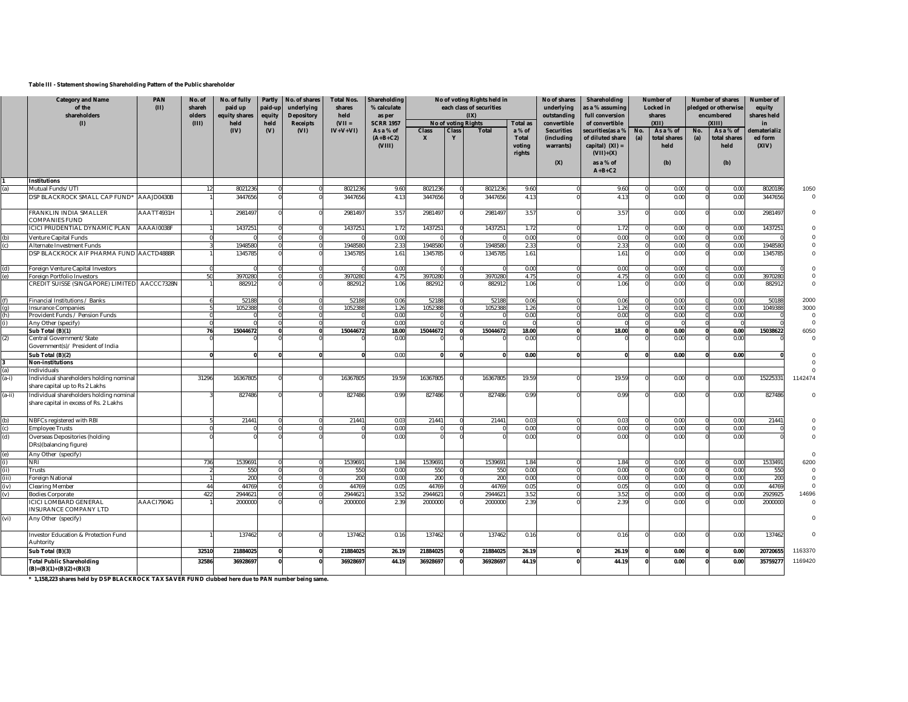## **Table III - Statement showing Shareholding Pattern of the Public shareholder**

|          | <b>Category and Name</b><br>of the<br>shareholders<br>(1)                         |            | No. of<br>shareh<br>olders<br>(III) | No. of fully<br>paid up<br>equity shares<br>held | Partly<br>paid-up<br>equity<br>held | No. of shares<br>underlying<br><b>Depository</b><br>Receipts | <b>Total Nos.</b><br>shares<br>held<br>$(VII =$ | Shareholding<br>% calculate<br>as per<br><b>SCRR 1957</b> |                   |              | No of voting Rights held in<br>each class of securities<br>(IX)<br>No of voting Rights | <b>Total as</b>                           | No of shares<br>underlying<br>outstanding<br>convertible | Shareholding<br>as a % assuming<br>full conversion<br>of convertible       |            | <b>Number of</b><br>Locked in<br>shares<br>(X I) |            | <b>Number of shares</b><br>pledged or otherwise<br>encumbered<br>(XIII) | <b>Number of</b><br>equity<br>shares held<br>in |             |
|----------|-----------------------------------------------------------------------------------|------------|-------------------------------------|--------------------------------------------------|-------------------------------------|--------------------------------------------------------------|-------------------------------------------------|-----------------------------------------------------------|-------------------|--------------|----------------------------------------------------------------------------------------|-------------------------------------------|----------------------------------------------------------|----------------------------------------------------------------------------|------------|--------------------------------------------------|------------|-------------------------------------------------------------------------|-------------------------------------------------|-------------|
|          |                                                                                   |            |                                     | (IV)                                             | $(V)$                               | (VI)                                                         | $IV+V+VI$                                       | As a % of<br>$(A+B+C2)$<br>(VIII)                         | <b>Class</b><br>X | <b>Class</b> | <b>Total</b>                                                                           | a% of<br><b>Total</b><br>voting<br>rights | <b>Securities</b><br>(including<br>warrants)             | securities (as a %<br>of diluted share<br>capital) $(XI) =$<br>$(VII)+(X)$ | No.<br>(a) | As a % of<br>total shares<br>held                | No.<br>(a) | As a % of<br>total shares<br>held                                       | dematerializ<br>ed form<br>(XIV)                |             |
|          |                                                                                   |            |                                     |                                                  |                                     |                                                              |                                                 |                                                           |                   |              |                                                                                        |                                           | (X)                                                      | as a % of<br>$A+B+C2$                                                      |            | (b)                                              |            | (b)                                                                     |                                                 |             |
|          | <b>Institutions</b>                                                               |            |                                     |                                                  |                                     |                                                              |                                                 |                                                           |                   |              |                                                                                        |                                           |                                                          |                                                                            |            |                                                  |            |                                                                         |                                                 |             |
|          | Mutual Funds/UTI                                                                  |            | 12                                  | 802123                                           |                                     |                                                              | 802123                                          | 9.60                                                      | 8021236           |              | 8021236                                                                                | 9.60                                      |                                                          | 9.60                                                                       |            | 0.00                                             |            | 0.00                                                                    | 802018                                          | 1050        |
|          | DSP BLACKROCK SMALL CAP FUND* AAAJD0430B                                          |            |                                     | 3447656                                          |                                     |                                                              | 3447656                                         | 4.13                                                      | 3447656           |              | 3447656                                                                                | 4.13                                      |                                                          | 4.13                                                                       |            | 0.00                                             |            | 0.00                                                                    | 3447656                                         |             |
|          | FRANKLIN INDIA SMALLER<br>COMPANIES FUND                                          | AAATT4931H |                                     | 298149                                           |                                     |                                                              | 2981497                                         | 3.57                                                      | 2981497           |              | 2981497                                                                                | 3.57                                      |                                                          | 3.57                                                                       |            | 0.00                                             |            | 0.00                                                                    | 2981497                                         |             |
|          | ICICI PRUDENTIAL DYNAMIC PLAN                                                     | AAAA10038F |                                     | 143725                                           |                                     |                                                              | 143725                                          | 1.72                                                      | 143725            |              | 143725                                                                                 | 1.72                                      |                                                          | 1.72                                                                       |            | 0.00                                             |            | 0.00                                                                    | 143725                                          |             |
| (b)      | Venture Capital Funds                                                             |            |                                     |                                                  |                                     |                                                              |                                                 | 0.00                                                      |                   |              |                                                                                        | 0.00                                      |                                                          | 0.00                                                                       |            | 0.00                                             |            | 0.00                                                                    |                                                 |             |
| (c)      | Alternate Investment Funds                                                        |            |                                     | 1948580                                          |                                     |                                                              | 194858                                          | 2.33                                                      | 1948580           |              | 1948580                                                                                | 2.33                                      |                                                          | 2.33                                                                       |            | 0.00                                             |            | 0.00                                                                    | 1948580                                         |             |
|          | DSP BLACKROCK AIF PHARMA FUND AACTD4888R                                          |            |                                     | 134578                                           |                                     |                                                              | 134578                                          | 1.61                                                      | 1345785           |              | 1345785                                                                                | 1.61                                      |                                                          | 1.61                                                                       |            | 0.00                                             |            | 0.00                                                                    | 134578                                          |             |
| (d)      | Foreign Venture Capital Investors                                                 |            |                                     |                                                  |                                     |                                                              |                                                 | 0.00                                                      |                   |              |                                                                                        | 0.00                                      |                                                          | 0.00                                                                       |            | 0.00                                             |            | 0.00                                                                    |                                                 |             |
| (e)      | Foreign Portfolio Investors                                                       |            | 50                                  | 3970280                                          |                                     |                                                              | 397028                                          | 4.75                                                      | 3970280           |              | 3970280                                                                                | 4.75                                      |                                                          | 4.75                                                                       |            | 0.00                                             |            | 0.00                                                                    | 3970280                                         |             |
|          | CREDIT SUISSE (SINGAPORE) LIMITED AACCC7328N                                      |            |                                     | 882912                                           |                                     |                                                              | 88291                                           | 1.06                                                      | 882912            |              | 882912                                                                                 | 1.06                                      |                                                          | 1.06                                                                       |            | 0.00                                             |            | 0.00                                                                    | 882912                                          |             |
| (f)      | Financial Institutions / Banks                                                    |            |                                     | 52188                                            |                                     |                                                              | 52188                                           | 0.06                                                      | 52188             |              | 52188                                                                                  | 0.06                                      |                                                          | 0.06                                                                       |            | 0.00                                             |            | 0.00                                                                    | 50188                                           | 2000        |
| (g)      | <b>Insurance Companies</b>                                                        |            |                                     | 105238                                           |                                     |                                                              | 105238                                          | 1.26                                                      | 1052388           |              | 1052388                                                                                | 1.26                                      |                                                          | 1.26                                                                       |            | 0.00                                             |            | 0.00                                                                    | 104938                                          | 3000        |
| (h)      | Provident Funds / Pension Funds                                                   |            |                                     |                                                  |                                     |                                                              |                                                 | 0.00                                                      |                   |              |                                                                                        | 0.00                                      |                                                          | 0.00                                                                       |            | 0.00                                             |            | 0.00                                                                    |                                                 | $\mathbf 0$ |
|          | Any Other (specify)                                                               |            |                                     |                                                  |                                     |                                                              |                                                 | 0.00                                                      |                   |              |                                                                                        |                                           |                                                          |                                                                            |            |                                                  |            |                                                                         |                                                 | $\mathbf 0$ |
|          | Sub Total (B)(1)                                                                  |            | 76                                  | 15044672                                         |                                     |                                                              | 15044672                                        | 18.00                                                     | 15044672          |              | 15044672                                                                               | 18.00                                     |                                                          | 18.00                                                                      |            | 0.00                                             |            | 0.00                                                                    | 15038622                                        | 6050        |
| (2)      | Central Government/State<br>Government(s)/ President of India                     |            |                                     |                                                  |                                     |                                                              |                                                 | 0.00                                                      |                   |              |                                                                                        | 0.00                                      |                                                          |                                                                            |            | 0.00                                             |            | 0.00                                                                    |                                                 |             |
|          | Sub Total (B)(2)                                                                  |            |                                     |                                                  |                                     |                                                              |                                                 | 0.00                                                      | <sub>0</sub>      |              | n                                                                                      | 0.00                                      |                                                          |                                                                            |            | 0.00                                             |            | 0.00                                                                    |                                                 |             |
|          | <b>Non-institutions</b>                                                           |            |                                     |                                                  |                                     |                                                              |                                                 |                                                           |                   |              |                                                                                        |                                           |                                                          |                                                                            |            |                                                  |            |                                                                         |                                                 |             |
| ʻa)      | ndividuals                                                                        |            |                                     |                                                  |                                     |                                                              |                                                 |                                                           |                   |              |                                                                                        |                                           |                                                          |                                                                            |            |                                                  |            |                                                                         |                                                 |             |
| $(a-i)$  | Individual shareholders holding nominal<br>share capital up to Rs 2 Lakhs         |            | 31296                               | 1636780                                          |                                     |                                                              | 16367805                                        | 19.59                                                     | 16367805          |              | 16367805                                                                               | 19.59                                     |                                                          | 19.59                                                                      |            | 0.00                                             |            | 0.00                                                                    | 15225331                                        | 1142474     |
| $(a-ii)$ | Individual shareholders holding nominal<br>share capital in excess of Rs. 2 Lakhs |            |                                     | 827486                                           |                                     |                                                              | 827486                                          | 0.99                                                      | 827486            |              | 827486                                                                                 | 0.99                                      |                                                          | 0.99                                                                       |            | 0.00                                             |            | 0.00                                                                    | 827486                                          | $\Omega$    |
| (b)      | NBFCs registered with RBI                                                         |            |                                     | 21441                                            | $\Omega$                            |                                                              | 21441                                           | 0.03                                                      | 21441             | $\Omega$     | 21441                                                                                  | 0.03                                      |                                                          | 0.03                                                                       | $\Omega$   | 0.00                                             |            | 0.00                                                                    | 21441                                           |             |
| (c)      | <b>Employee Trusts</b>                                                            |            |                                     |                                                  |                                     |                                                              |                                                 | 0.00                                                      |                   |              |                                                                                        | 0.00                                      |                                                          | 0.00                                                                       |            | 0.00                                             |            | 0.00                                                                    |                                                 |             |
| (d)      | Overseas Depositories (holding<br>DRs)(balancing figure)                          |            |                                     |                                                  |                                     |                                                              |                                                 | 0.00                                                      |                   |              |                                                                                        | 0.00                                      |                                                          | 0.00                                                                       |            | 0.00                                             |            | 0.00                                                                    |                                                 |             |
| (e)      | Any Other (specify)                                                               |            |                                     |                                                  |                                     |                                                              |                                                 |                                                           |                   |              |                                                                                        |                                           |                                                          |                                                                            |            |                                                  |            |                                                                         |                                                 |             |
| (i)      | NRI                                                                               |            | 736                                 | 1539691                                          |                                     |                                                              | 1539691                                         | 1.84                                                      | 1539691           |              | 1539691                                                                                | 1.84                                      |                                                          | 1.84                                                                       |            | 0.00                                             |            | 0.00                                                                    | 1533491                                         | 6200        |
| (ii)     | Trusts                                                                            |            |                                     | 550                                              |                                     |                                                              | 550                                             | 0.00                                                      | 550               |              | 550                                                                                    | 0.00                                      |                                                          | 0.00                                                                       |            | 0.00                                             |            | 0.00                                                                    | 550                                             |             |
| (iii)    | Foreign National                                                                  |            |                                     | 200                                              |                                     |                                                              | <b>200</b>                                      | 0.00                                                      | 200               |              | 200                                                                                    | 0.00                                      |                                                          | 0.00                                                                       |            | 0.00                                             |            | 0.00                                                                    | 200                                             |             |
| (iv)     | Clearing Member                                                                   |            | 44                                  | 44769                                            |                                     |                                                              | 44769                                           | 0.05                                                      | 44769             |              | 44769                                                                                  | 0.05                                      |                                                          | 0.05                                                                       |            | 0.00                                             |            | 0.00                                                                    | 44769                                           | $\Omega$    |
| (v)      | <b>Bodies Corporate</b>                                                           |            | 422                                 | 294462                                           |                                     |                                                              | 294462                                          | 3.52                                                      | 2944621           |              | 294462                                                                                 | 3.52                                      |                                                          | 3.52                                                                       | C          | 0.00                                             |            | 0.00                                                                    | 2929925                                         | 14696       |
|          | <b>ICICI LOMBARD GENERAL</b><br>INSURANCE COMPANY LTD                             | AAACI7904G |                                     | 2000000                                          |                                     |                                                              | 2000000                                         | 2.39                                                      | 2000000           |              | 2000000                                                                                | 2.39                                      |                                                          | 2.39                                                                       |            | 0.00                                             |            | 0.00                                                                    | 2000000                                         |             |
| (vi)     | Any Other (specify)                                                               |            |                                     |                                                  |                                     |                                                              |                                                 |                                                           |                   |              |                                                                                        |                                           |                                                          |                                                                            |            |                                                  |            |                                                                         |                                                 |             |
|          | Investor Education & Protection Fund<br>Auhtority                                 |            |                                     | 137462                                           |                                     |                                                              | 137462                                          | 0.16                                                      | 137462            |              | 137462                                                                                 | 0.16                                      |                                                          | 0.16                                                                       |            | 0.00                                             |            | 0.00                                                                    | 137462                                          |             |
|          | Sub Total (B)(3)                                                                  |            | 32510                               | 21884025                                         |                                     |                                                              | 21884025                                        | 26.19                                                     | 21884025          |              | 21884025                                                                               | 26.19                                     |                                                          | 26.19                                                                      |            | 0.00                                             |            | 0.00                                                                    | 20720655                                        | 1163370     |
|          | <b>Total Public Shareholding</b>                                                  |            | 32586                               | 36928697                                         |                                     |                                                              | 36928697                                        | 44.19                                                     | 36928697          |              | 36928697                                                                               | 44.19                                     |                                                          | 44.19                                                                      |            | 0.00                                             |            | 0.00                                                                    | 35759277                                        | 1169420     |
|          | $(B)=(B)(1)+(B)(2)+(B)(3)$                                                        |            |                                     |                                                  |                                     |                                                              |                                                 |                                                           |                   |              |                                                                                        |                                           |                                                          |                                                                            |            |                                                  |            |                                                                         |                                                 |             |

**\* 1,158,223 shares held by DSP BLACKROCK TAX SAVER FUND clubbed here due to PAN number being same.**